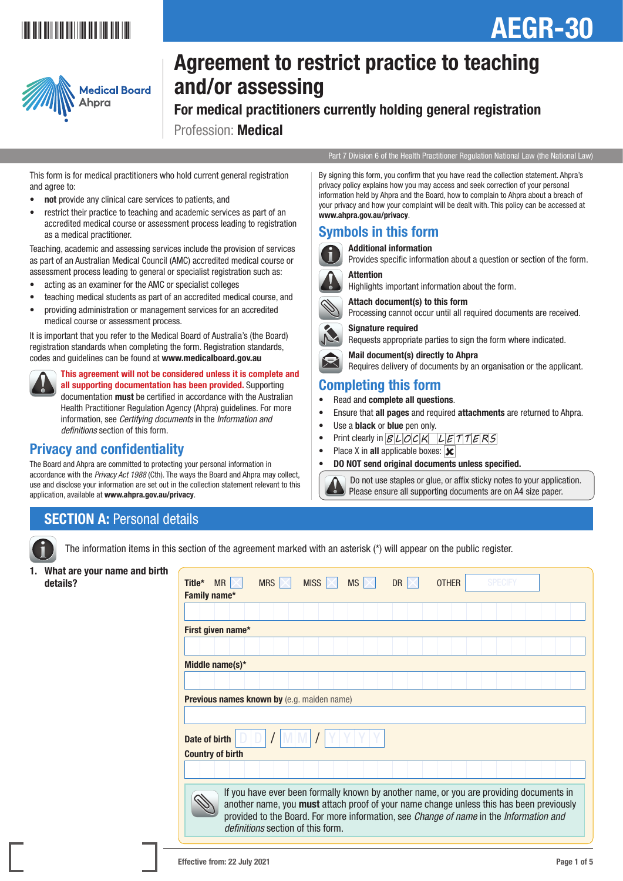# \*AEGRA" \*AEGRA" \*AEGRA" \*AEGRA" \*AEGRA" \*AEGRA" \*AEGRA" \*AEGRA" \*AEGRA" \*AEGRA" \*AEGRA" \*AEGRA" \*AEGRA" \*AEGRA

# AEGR-30



# Agreement to restrict practice to teaching and/or assessing

For medical practitioners currently holding general registration Profession: Medical

Part 7 Division 6 of the Health Practitioner Regulation National Law (the National Law)

This form is for medical practitioners who hold current general registration and agree to:

- not provide any clinical care services to patients, and
- restrict their practice to teaching and academic services as part of an accredited medical course or assessment process leading to registration as a medical practitioner.

Teaching, academic and assessing services include the provision of services as part of an Australian Medical Council (AMC) accredited medical course or assessment process leading to general or specialist registration such as:

- acting as an examiner for the AMC or specialist colleges
- teaching medical students as part of an accredited medical course, and
- providing administration or management services for an accredited medical course or assessment process.

It is important that you refer to the Medical Board of Australia's (the Board) registration standards when completing the form. Registration standards, codes and guidelines can be found at www.medicalboard.gov.au



This agreement will not be considered unless it is complete and all supporting documentation has been provided. Supporting documentation must be certified in accordance with the Australian Health Practitioner Regulation Agency (Ahpra) guidelines. For more information, see *Certifying documents* in the *Information and definitions* section of this form.

# Privacy and confidentiality

The Board and Ahpra are committed to protecting your personal information in accordance with the *Privacy Act 1988* (Cth). The ways the Board and Ahpra may collect, use and disclose your information are set out in the collection statement relevant to this application, available at www.ahpra.gov.au/privacy.

#### By signing this form, you confirm that you have read the collection statement. Ahpra's privacy policy explains how you may access and seek correction of your personal information held by Ahpra and the Board, how to complain to Ahpra about a breach of your privacy and how your complaint will be dealt with. This policy can be accessed at www.ahpra.gov.au/privacy.

# Symbols in this form



 Additional information Provides specific information about a question or section of the form.

### Attention

Highlights important information about the form.



 Attach document(s) to this form Processing cannot occur until all required documents are received.



Requests appropriate parties to sign the form where indicated. Mail document(s) directly to Ahpra

Requires delivery of documents by an organisation or the applicant.

# Completing this form

- Read and complete all questions.
- Ensure that all pages and required attachments are returned to Ahpra.
- Use a **black** or **blue** pen only.
- Print clearly in  $B|L|OCH$   $L|E|T|T|E|RS$
- Place X in all applicable boxes:  $\overline{\mathbf{x}}$
- DO NOT send original documents unless specified.



 Do not use staples or glue, or affix sticky notes to your application. Please ensure all supporting documents are on A4 size paper.

# **SECTION A: Personal details**

The information items in this section of the agreement marked with an asterisk (\*) will appear on the public register.

1. What are your name an

| What are your name and birth |                                                                                                                                                                                                                                                                              |  |  |  |  |  |  |  |  |  |  |
|------------------------------|------------------------------------------------------------------------------------------------------------------------------------------------------------------------------------------------------------------------------------------------------------------------------|--|--|--|--|--|--|--|--|--|--|
| details?                     | MISS $ \times $<br><b>OTHER</b><br><b>SPECIFY</b><br>Title*<br>MR $\times$<br><b>MRS</b><br><b>MS</b><br><b>DR</b><br>IX                                                                                                                                                     |  |  |  |  |  |  |  |  |  |  |
|                              | Family name*                                                                                                                                                                                                                                                                 |  |  |  |  |  |  |  |  |  |  |
|                              |                                                                                                                                                                                                                                                                              |  |  |  |  |  |  |  |  |  |  |
|                              |                                                                                                                                                                                                                                                                              |  |  |  |  |  |  |  |  |  |  |
|                              | First given name*                                                                                                                                                                                                                                                            |  |  |  |  |  |  |  |  |  |  |
|                              |                                                                                                                                                                                                                                                                              |  |  |  |  |  |  |  |  |  |  |
|                              | Middle name(s)*                                                                                                                                                                                                                                                              |  |  |  |  |  |  |  |  |  |  |
|                              |                                                                                                                                                                                                                                                                              |  |  |  |  |  |  |  |  |  |  |
|                              |                                                                                                                                                                                                                                                                              |  |  |  |  |  |  |  |  |  |  |
|                              | Previous names known by (e.g. maiden name)                                                                                                                                                                                                                                   |  |  |  |  |  |  |  |  |  |  |
|                              |                                                                                                                                                                                                                                                                              |  |  |  |  |  |  |  |  |  |  |
|                              |                                                                                                                                                                                                                                                                              |  |  |  |  |  |  |  |  |  |  |
|                              | Date of birth                                                                                                                                                                                                                                                                |  |  |  |  |  |  |  |  |  |  |
|                              | <b>Country of birth</b>                                                                                                                                                                                                                                                      |  |  |  |  |  |  |  |  |  |  |
|                              |                                                                                                                                                                                                                                                                              |  |  |  |  |  |  |  |  |  |  |
|                              |                                                                                                                                                                                                                                                                              |  |  |  |  |  |  |  |  |  |  |
|                              | If you have ever been formally known by another name, or you are providing documents in<br>another name, you must attach proof of your name change unless this has been previously<br>provided to the Board. For more information, see Change of name in the Information and |  |  |  |  |  |  |  |  |  |  |
|                              | definitions section of this form.                                                                                                                                                                                                                                            |  |  |  |  |  |  |  |  |  |  |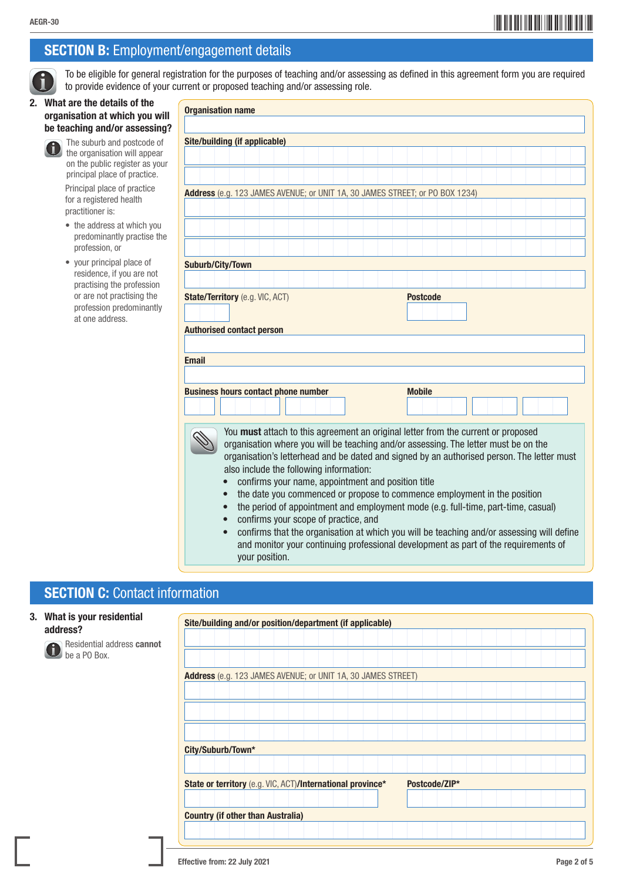# SECTION B: Employment/engagement details

 To be eligible for general registration for the purposes of teaching and/or assessing as defined in this agreement form you are required to provide evidence of your current or proposed teaching and/or assessing role.

#### 2. What are the details of the organisation at which you will be teaching and/or assessing?



 The suburb and postcode of the organisation will appear on the public register as your principal place of practice.

 Principal place of practice for a registered health practitioner is:

- the address at which you predominantly practise the profession, or
- your principal place of residence, if you are not practising the profession or are not practising the profession predominantly at one address.

| <b>Organisation name</b>                                                                                                                                                                                                                                                                                                                                                                                                                                                                                                                                                                                                                                                                                                                                                                                                              |  |               |  |  |  |  |  |  |
|---------------------------------------------------------------------------------------------------------------------------------------------------------------------------------------------------------------------------------------------------------------------------------------------------------------------------------------------------------------------------------------------------------------------------------------------------------------------------------------------------------------------------------------------------------------------------------------------------------------------------------------------------------------------------------------------------------------------------------------------------------------------------------------------------------------------------------------|--|---------------|--|--|--|--|--|--|
|                                                                                                                                                                                                                                                                                                                                                                                                                                                                                                                                                                                                                                                                                                                                                                                                                                       |  |               |  |  |  |  |  |  |
| Site/building (if applicable)                                                                                                                                                                                                                                                                                                                                                                                                                                                                                                                                                                                                                                                                                                                                                                                                         |  |               |  |  |  |  |  |  |
|                                                                                                                                                                                                                                                                                                                                                                                                                                                                                                                                                                                                                                                                                                                                                                                                                                       |  |               |  |  |  |  |  |  |
|                                                                                                                                                                                                                                                                                                                                                                                                                                                                                                                                                                                                                                                                                                                                                                                                                                       |  |               |  |  |  |  |  |  |
|                                                                                                                                                                                                                                                                                                                                                                                                                                                                                                                                                                                                                                                                                                                                                                                                                                       |  |               |  |  |  |  |  |  |
|                                                                                                                                                                                                                                                                                                                                                                                                                                                                                                                                                                                                                                                                                                                                                                                                                                       |  |               |  |  |  |  |  |  |
| Address (e.g. 123 JAMES AVENUE; or UNIT 1A, 30 JAMES STREET; or PO BOX 1234)                                                                                                                                                                                                                                                                                                                                                                                                                                                                                                                                                                                                                                                                                                                                                          |  |               |  |  |  |  |  |  |
|                                                                                                                                                                                                                                                                                                                                                                                                                                                                                                                                                                                                                                                                                                                                                                                                                                       |  |               |  |  |  |  |  |  |
|                                                                                                                                                                                                                                                                                                                                                                                                                                                                                                                                                                                                                                                                                                                                                                                                                                       |  |               |  |  |  |  |  |  |
|                                                                                                                                                                                                                                                                                                                                                                                                                                                                                                                                                                                                                                                                                                                                                                                                                                       |  |               |  |  |  |  |  |  |
|                                                                                                                                                                                                                                                                                                                                                                                                                                                                                                                                                                                                                                                                                                                                                                                                                                       |  |               |  |  |  |  |  |  |
| <b>Suburb/City/Town</b>                                                                                                                                                                                                                                                                                                                                                                                                                                                                                                                                                                                                                                                                                                                                                                                                               |  |               |  |  |  |  |  |  |
|                                                                                                                                                                                                                                                                                                                                                                                                                                                                                                                                                                                                                                                                                                                                                                                                                                       |  |               |  |  |  |  |  |  |
|                                                                                                                                                                                                                                                                                                                                                                                                                                                                                                                                                                                                                                                                                                                                                                                                                                       |  |               |  |  |  |  |  |  |
| State/Territory (e.g. VIC, ACT)<br><b>Postcode</b><br><b>Authorised contact person</b>                                                                                                                                                                                                                                                                                                                                                                                                                                                                                                                                                                                                                                                                                                                                                |  |               |  |  |  |  |  |  |
| <b>Email</b>                                                                                                                                                                                                                                                                                                                                                                                                                                                                                                                                                                                                                                                                                                                                                                                                                          |  |               |  |  |  |  |  |  |
| <b>Business hours contact phone number</b>                                                                                                                                                                                                                                                                                                                                                                                                                                                                                                                                                                                                                                                                                                                                                                                            |  | <b>Mobile</b> |  |  |  |  |  |  |
| You must attach to this agreement an original letter from the current or proposed<br>organisation where you will be teaching and/or assessing. The letter must be on the<br>organisation's letterhead and be dated and signed by an authorised person. The letter must<br>also include the following information:<br>confirms your name, appointment and position title<br>$\bullet$<br>the date you commenced or propose to commence employment in the position<br>$\bullet$<br>the period of appointment and employment mode (e.g. full-time, part-time, casual)<br>$\bullet$<br>confirms your scope of practice, and<br>$\bullet$<br>confirms that the organisation at which you will be teaching and/or assessing will define<br>$\bullet$<br>and monitor your continuing professional development as part of the requirements of |  |               |  |  |  |  |  |  |

# **SECTION C: Contact information**

#### 3. What is your residential address?



 Residential address cannot be a PO Box.

| Site/building and/or position/department (if applicable)     |  |  |  |  |  |  |  |  |  |  |               |  |  |  |  |  |
|--------------------------------------------------------------|--|--|--|--|--|--|--|--|--|--|---------------|--|--|--|--|--|
|                                                              |  |  |  |  |  |  |  |  |  |  |               |  |  |  |  |  |
|                                                              |  |  |  |  |  |  |  |  |  |  |               |  |  |  |  |  |
| Address (e.g. 123 JAMES AVENUE; or UNIT 1A, 30 JAMES STREET) |  |  |  |  |  |  |  |  |  |  |               |  |  |  |  |  |
|                                                              |  |  |  |  |  |  |  |  |  |  |               |  |  |  |  |  |
|                                                              |  |  |  |  |  |  |  |  |  |  |               |  |  |  |  |  |
|                                                              |  |  |  |  |  |  |  |  |  |  |               |  |  |  |  |  |
|                                                              |  |  |  |  |  |  |  |  |  |  |               |  |  |  |  |  |
| City/Suburb/Town*                                            |  |  |  |  |  |  |  |  |  |  |               |  |  |  |  |  |
|                                                              |  |  |  |  |  |  |  |  |  |  |               |  |  |  |  |  |
| State or territory (e.g. VIC, ACT)/International province*   |  |  |  |  |  |  |  |  |  |  | Postcode/ZIP* |  |  |  |  |  |
|                                                              |  |  |  |  |  |  |  |  |  |  |               |  |  |  |  |  |
| <b>Country (if other than Australia)</b>                     |  |  |  |  |  |  |  |  |  |  |               |  |  |  |  |  |
|                                                              |  |  |  |  |  |  |  |  |  |  |               |  |  |  |  |  |
|                                                              |  |  |  |  |  |  |  |  |  |  |               |  |  |  |  |  |

your position.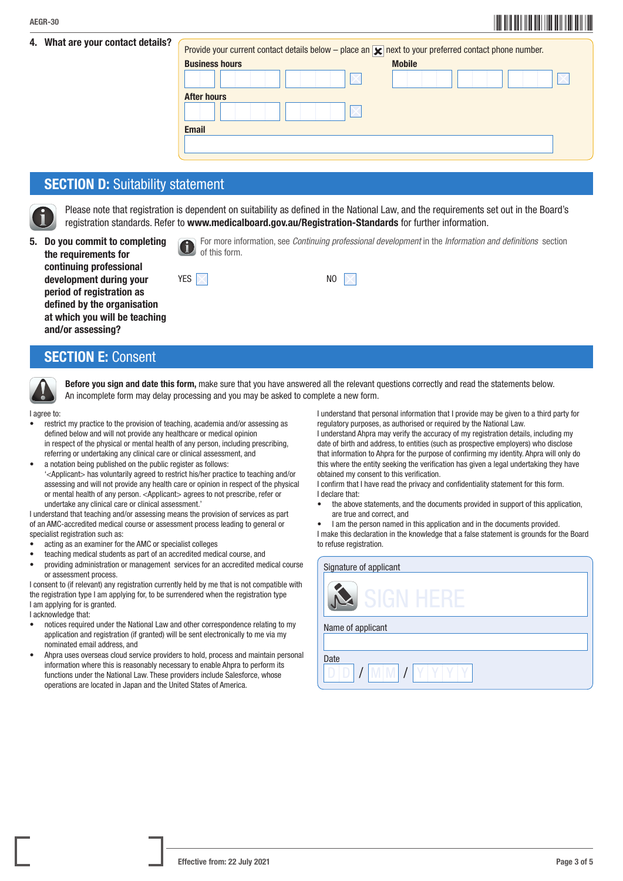# \*AEGR-303\* AEGR-30

| 4. What are your contact details? | Provide your current contact details below – place an $\blacktriangleright$ next to your preferred contact phone number. |               |
|-----------------------------------|--------------------------------------------------------------------------------------------------------------------------|---------------|
|                                   | <b>Business hours</b>                                                                                                    | <b>Mobile</b> |
|                                   |                                                                                                                          |               |
|                                   | <b>After hours</b>                                                                                                       |               |
|                                   |                                                                                                                          |               |
|                                   | <b>Email</b>                                                                                                             |               |
|                                   |                                                                                                                          |               |
|                                   |                                                                                                                          |               |

## **SECTION D: Suitability statement**

 Please note that registration is dependent on suitability as defined in the National Law, and the requirements set out in the Board's registration standards. Refer to www.medicalboard.gov.au/Registration-Standards for further information.

5. Do you commit to completing the requirements for continuing professional

and/or assessing?

 For more information, see *Continuing professional development* in the *Information and definitions* section of this form.

| continuing professional       |                          |             |
|-------------------------------|--------------------------|-------------|
| development during your       | YES $\vert \times \vert$ | NO $\nabla$ |
| period of registration as     |                          |             |
| defined by the organisation   |                          |             |
| at which you will be teaching |                          |             |
| and the common control O      |                          |             |

# SECTION E: Consent



Before you sign and date this form, make sure that you have answered all the relevant questions correctly and read the statements below. An incomplete form may delay processing and you may be asked to complete a new form.

I agree to:

- restrict my practice to the provision of teaching, academia and/or assessing as defined below and will not provide any healthcare or medical opinion in respect of the physical or mental health of any person, including prescribing, referring or undertaking any clinical care or clinical assessment, and
- a notation being published on the public register as follows: '<Applicant> has voluntarily agreed to restrict his/her practice to teaching and/or assessing and will not provide any health care or opinion in respect of the physical or mental health of any person. <Applicant> agrees to not prescribe, refer or undertake any clinical care or clinical assessment.'

I understand that teaching and/or assessing means the provision of services as part of an AMC-accredited medical course or assessment process leading to general or specialist registration such as:

- acting as an examiner for the AMC or specialist colleges
- teaching medical students as part of an accredited medical course, and
- providing administration or management services for an accredited medical course or assessment process.

I consent to (if relevant) any registration currently held by me that is not compatible with the registration type I am applying for, to be surrendered when the registration type I am applying for is granted.

I acknowledge that:

- notices required under the National Law and other correspondence relating to my application and registration (if granted) will be sent electronically to me via my nominated email address, and
- Ahpra uses overseas cloud service providers to hold, process and maintain personal information where this is reasonably necessary to enable Ahpra to perform its functions under the National Law. These providers include Salesforce, whose operations are located in Japan and the United States of America.

I understand that personal information that I provide may be given to a third party for regulatory purposes, as authorised or required by the National Law.

I understand Ahpra may verify the accuracy of my registration details, including my date of birth and address, to entities (such as prospective employers) who disclose that information to Ahpra for the purpose of confirming my identity. Ahpra will only do this where the entity seeking the verification has given a legal undertaking they have obtained my consent to this verification.

I confirm that I have read the privacy and confidentiality statement for this form. I declare that:

- the above statements, and the documents provided in support of this application, are true and correct, and
- I am the person named in this application and in the documents provided.

I make this declaration in the knowledge that a false statement is grounds for the Board to refuse registration.

| Signature of applicant |
|------------------------|
| 5161<br>. HF           |
| Name of applicant      |
|                        |
| Date                   |
| M<br>V.                |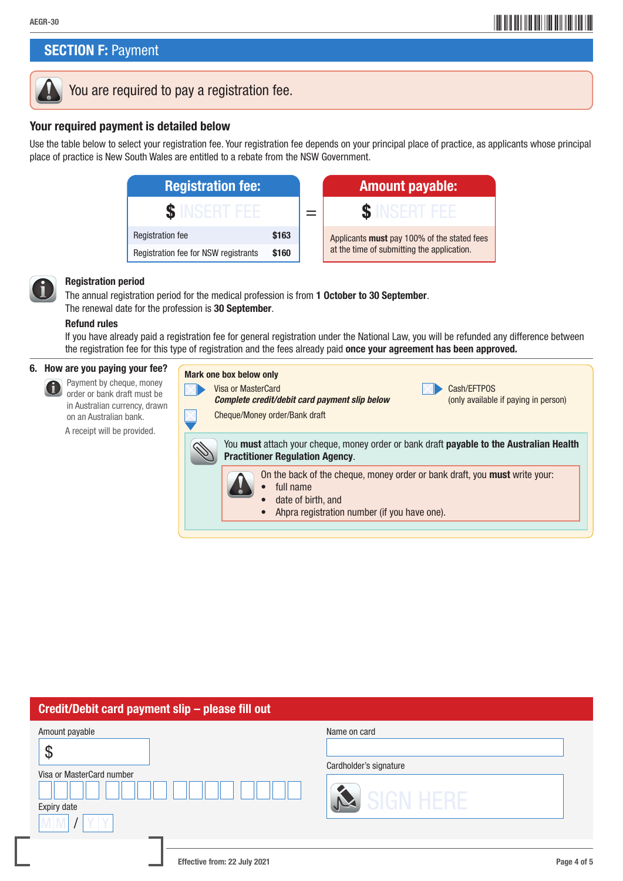# AEGR-30 **AEGR-30**

# **SECTION F: Payment**



# You are required to pay a registration fee.

### Your required payment is detailed below

Use the table below to select your registration fee. Your registration fee depends on your principal place of practice, as applicants whose principal place of practice is New South Wales are entitled to a rebate from the NSW Government.

| <b>Registration fee:</b>             |       | <b>Amount payable:</b>                                                                      |
|--------------------------------------|-------|---------------------------------------------------------------------------------------------|
|                                      |       | <b>SINSERIFFF</b>                                                                           |
| <b>Registration fee</b>              | \$163 | Applicants <b>must</b> pay 100% of the stated<br>at the time of submitting the application. |
| Registration fee for NSW registrants | \$160 |                                                                                             |

| <b>Registration fee:</b>                    |       | <b>Amount payable:</b>                      |
|---------------------------------------------|-------|---------------------------------------------|
|                                             |       |                                             |
| <b>Registration fee</b>                     | \$163 | Applicants must pay 100% of the stated fees |
| <b>Registration fee for NSW registrants</b> | \$160 | at the time of submitting the application.  |



#### Registration period

 The annual registration period for the medical profession is from 1 October to 30 September. The renewal date for the profession is 30 September.

#### Refund rules

If you have already paid a registration fee for general registration under the National Law, you will be refunded any difference between the registration fee for this type of registration and the fees already paid once your agreement has been approved.

#### 6. How are you paying your fee?

 Payment by cheque, money 6 order or bank draft must be in Australian currency, drawn on an Australian bank.

A receipt will be provided.

| Mark one box below only<br>Visa or MasterCard<br>Complete credit/debit card payment slip below<br>Cheque/Money order/Bank draft   | Cash/EFTPOS<br>(only available if paying in person) |
|-----------------------------------------------------------------------------------------------------------------------------------|-----------------------------------------------------|
| You must attach your cheque, money order or bank draft payable to the Australian Health<br><b>Practitioner Regulation Agency.</b> |                                                     |
| On the back of the cheque, money order or bank draft, you <b>must</b> write your:<br>full name<br>date of birth, and              |                                                     |

• Ahpra registration number (if you have one).

### Credit/Debit card payment slip – please fill out

| Amount payable<br>$\boldsymbol{\vartheta}$<br>Visa or MasterCard number<br>Expiry date | Name on card<br>Cardholder's signature<br>SIGN HERE |  |
|----------------------------------------------------------------------------------------|-----------------------------------------------------|--|
| Effective from: 22 July 2021                                                           | Page 4 of 5                                         |  |